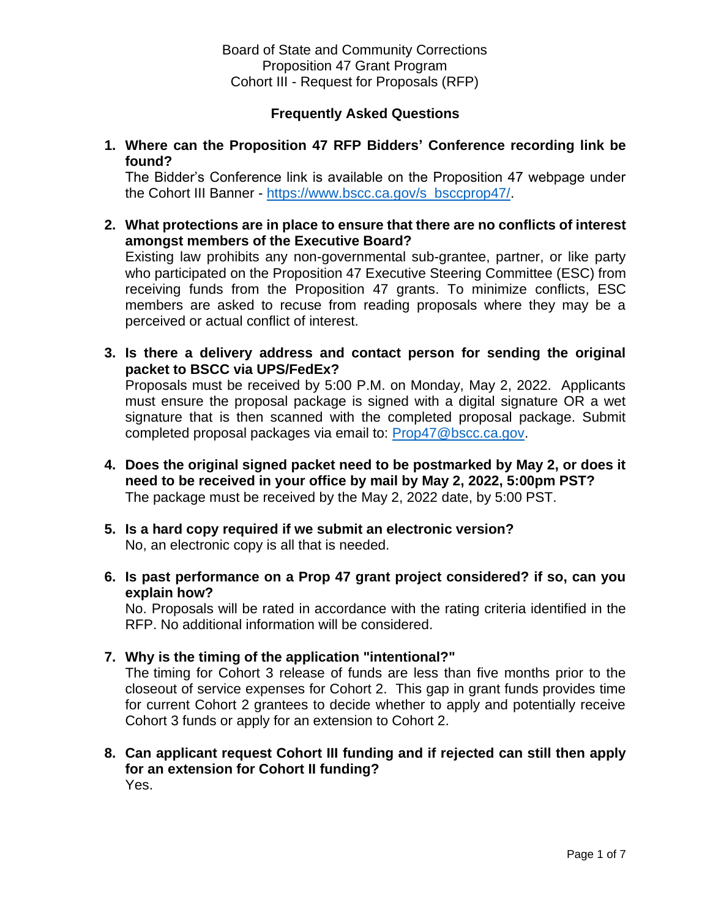# **Frequently Asked Questions**

**1. Where can the Proposition 47 RFP Bidders' Conference recording link be found?** 

The Bidder's Conference link is available on the Proposition 47 webpage under the Cohort III Banner - [https://www.bscc.ca.gov/s\\_bsccprop47/.](https://www.bscc.ca.gov/s_bsccprop47/)

**2. What protections are in place to ensure that there are no conflicts of interest amongst members of the Executive Board?**

Existing law prohibits any non-governmental sub-grantee, partner, or like party who participated on the Proposition 47 Executive Steering Committee (ESC) from receiving funds from the Proposition 47 grants. To minimize conflicts, ESC members are asked to recuse from reading proposals where they may be a perceived or actual conflict of interest.

**3. Is there a delivery address and contact person for sending the original packet to BSCC via UPS/FedEx?**

Proposals must be received by 5:00 P.M. on Monday, May 2, 2022. Applicants must ensure the proposal package is signed with a digital signature OR a wet signature that is then scanned with the completed proposal package. Submit completed proposal packages via email to: [Prop47@bscc.ca.gov.](mailto:Prop47@bscc.ca.gov)

- **4. Does the original signed packet need to be postmarked by May 2, or does it need to be received in your office by mail by May 2, 2022, 5:00pm PST?** The package must be received by the May 2, 2022 date, by 5:00 PST.
- **5. Is a hard copy required if we submit an electronic version?** No, an electronic copy is all that is needed.
- **6. Is past performance on a Prop 47 grant project considered? if so, can you explain how?**

No. Proposals will be rated in accordance with the rating criteria identified in the RFP. No additional information will be considered.

**7. Why is the timing of the application "intentional?"**

The timing for Cohort 3 release of funds are less than five months prior to the closeout of service expenses for Cohort 2. This gap in grant funds provides time for current Cohort 2 grantees to decide whether to apply and potentially receive Cohort 3 funds or apply for an extension to Cohort 2.

### **8. Can applicant request Cohort III funding and if rejected can still then apply for an extension for Cohort II funding?** Yes.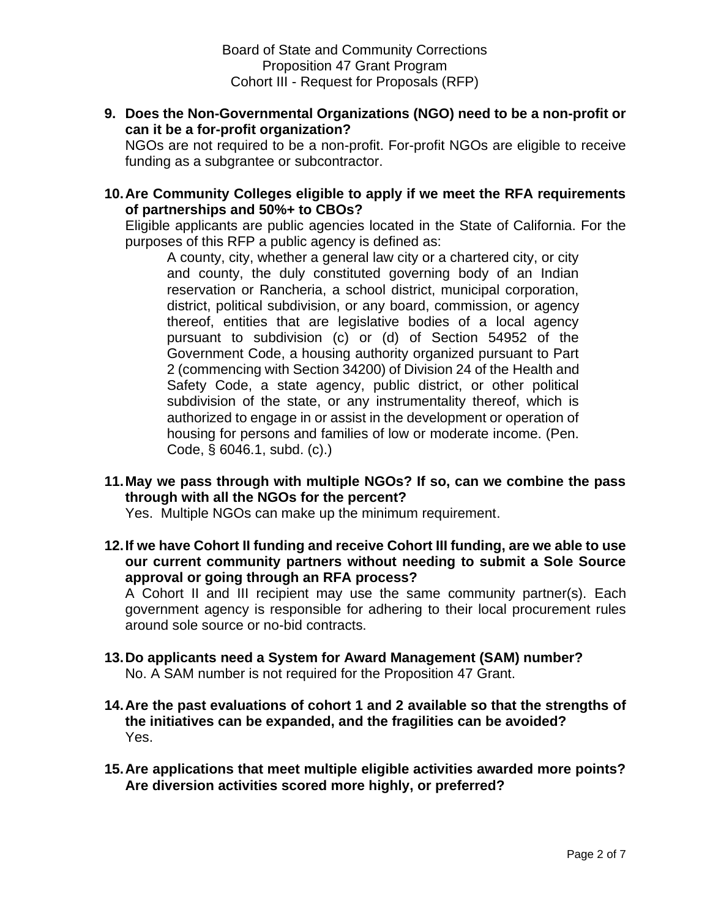**9. Does the Non-Governmental Organizations (NGO) need to be a non-profit or can it be a for-profit organization?**

NGOs are not required to be a non-profit. For-profit NGOs are eligible to receive funding as a subgrantee or subcontractor.

**10.Are Community Colleges eligible to apply if we meet the RFA requirements of partnerships and 50%+ to CBOs?**

Eligible applicants are public agencies located in the State of California. For the purposes of this RFP a public agency is defined as:

A county, city, whether a general law city or a chartered city, or city and county, the duly constituted governing body of an Indian reservation or Rancheria, a school district, municipal corporation, district, political subdivision, or any board, commission, or agency thereof, entities that are legislative bodies of a local agency pursuant to subdivision (c) or (d) of Section 54952 of the Government Code, a housing authority organized pursuant to Part 2 (commencing with Section 34200) of Division 24 of the Health and Safety Code, a state agency, public district, or other political subdivision of the state, or any instrumentality thereof, which is authorized to engage in or assist in the development or operation of housing for persons and families of low or moderate income. (Pen. Code, § 6046.1, subd. (c).)

**11.May we pass through with multiple NGOs? If so, can we combine the pass through with all the NGOs for the percent?**

Yes. Multiple NGOs can make up the minimum requirement.

**12.If we have Cohort II funding and receive Cohort III funding, are we able to use our current community partners without needing to submit a Sole Source approval or going through an RFA process?**

A Cohort II and III recipient may use the same community partner(s). Each government agency is responsible for adhering to their local procurement rules around sole source or no-bid contracts.

- **13.Do applicants need a System for Award Management (SAM) number?**  No. A SAM number is not required for the Proposition 47 Grant.
- **14.Are the past evaluations of cohort 1 and 2 available so that the strengths of the initiatives can be expanded, and the fragilities can be avoided?** Yes.
- **15.Are applications that meet multiple eligible activities awarded more points? Are diversion activities scored more highly, or preferred?**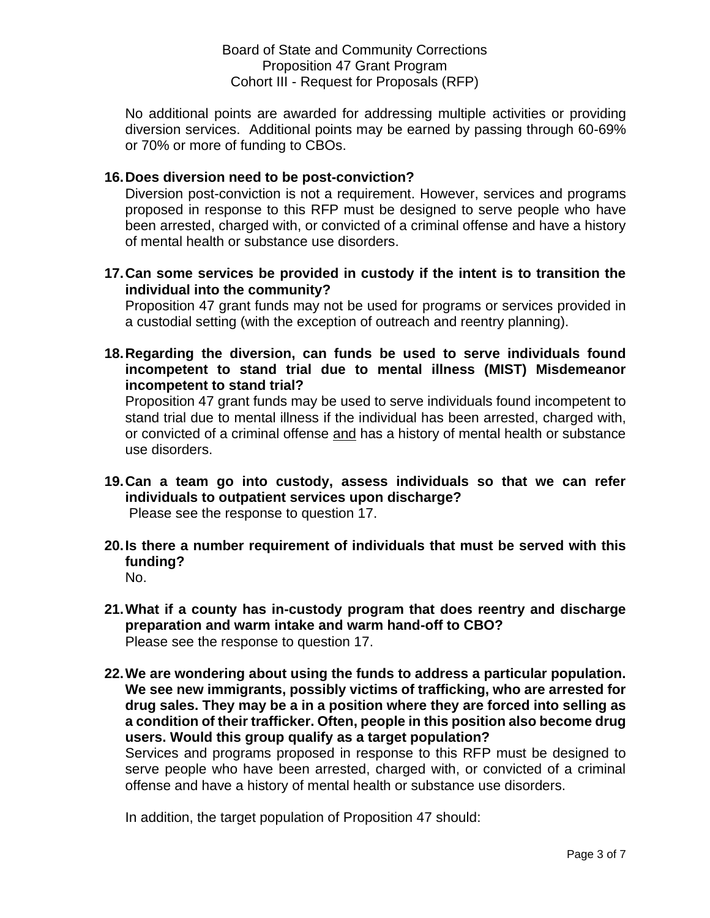No additional points are awarded for addressing multiple activities or providing diversion services. Additional points may be earned by passing through 60-69% or 70% or more of funding to CBOs.

## **16.Does diversion need to be post-conviction?**

Diversion post-conviction is not a requirement. However, services and programs proposed in response to this RFP must be designed to serve people who have been arrested, charged with, or convicted of a criminal offense and have a history of mental health or substance use disorders.

**17.Can some services be provided in custody if the intent is to transition the individual into the community?**

Proposition 47 grant funds may not be used for programs or services provided in a custodial setting (with the exception of outreach and reentry planning).

**18.Regarding the diversion, can funds be used to serve individuals found incompetent to stand trial due to mental illness (MIST) Misdemeanor incompetent to stand trial?**

Proposition 47 grant funds may be used to serve individuals found incompetent to stand trial due to mental illness if the individual has been arrested, charged with, or convicted of a criminal offense and has a history of mental health or substance use disorders.

- **19.Can a team go into custody, assess individuals so that we can refer individuals to outpatient services upon discharge?** Please see the response to question 17.
- **20.Is there a number requirement of individuals that must be served with this funding?**
	- No.
- **21.What if a county has in-custody program that does reentry and discharge preparation and warm intake and warm hand-off to CBO?** Please see the response to question 17.
- **22.We are wondering about using the funds to address a particular population. We see new immigrants, possibly victims of trafficking, who are arrested for drug sales. They may be a in a position where they are forced into selling as a condition of their trafficker. Often, people in this position also become drug users. Would this group qualify as a target population?**

Services and programs proposed in response to this RFP must be designed to serve people who have been arrested, charged with, or convicted of a criminal offense and have a history of mental health or substance use disorders.

In addition, the target population of Proposition 47 should: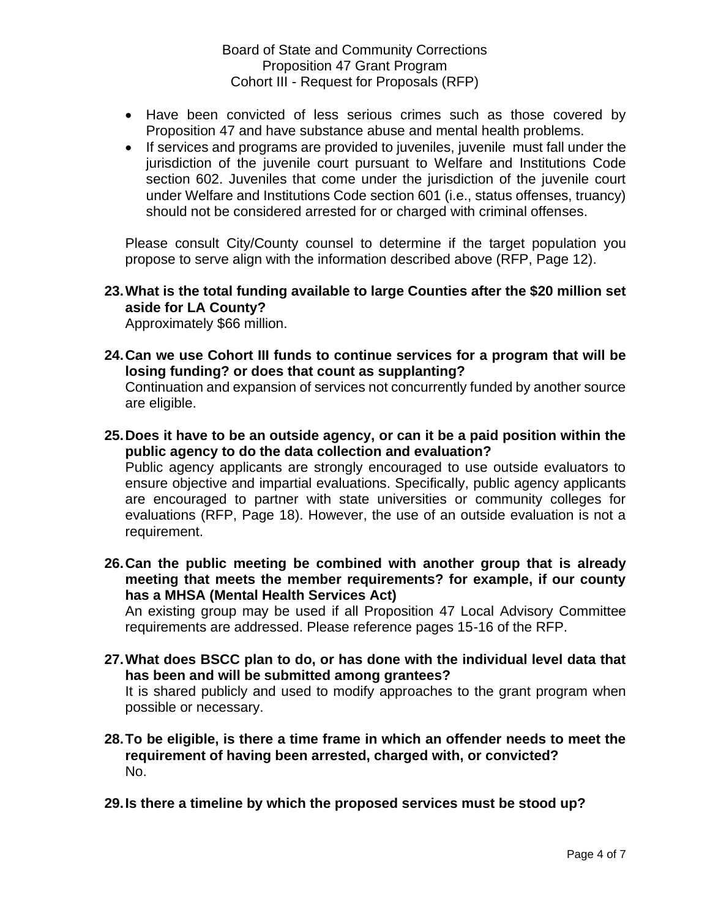- Have been convicted of less serious crimes such as those covered by Proposition 47 and have substance abuse and mental health problems.
- If services and programs are provided to juveniles, juvenile must fall under the jurisdiction of the juvenile court pursuant to Welfare and Institutions Code section 602. Juveniles that come under the jurisdiction of the juvenile court under Welfare and Institutions Code section 601 (i.e., status offenses, truancy) should not be considered arrested for or charged with criminal offenses.

Please consult City/County counsel to determine if the target population you propose to serve align with the information described above (RFP, Page 12).

**23.What is the total funding available to large Counties after the \$20 million set aside for LA County?** 

Approximately \$66 million.

**24.Can we use Cohort III funds to continue services for a program that will be losing funding? or does that count as supplanting?**

Continuation and expansion of services not concurrently funded by another source are eligible.

**25.Does it have to be an outside agency, or can it be a paid position within the public agency to do the data collection and evaluation?**

Public agency applicants are strongly encouraged to use outside evaluators to ensure objective and impartial evaluations. Specifically, public agency applicants are encouraged to partner with state universities or community colleges for evaluations (RFP, Page 18). However, the use of an outside evaluation is not a requirement.

**26.Can the public meeting be combined with another group that is already meeting that meets the member requirements? for example, if our county has a MHSA (Mental Health Services Act)**

An existing group may be used if all Proposition 47 Local Advisory Committee requirements are addressed. Please reference pages 15-16 of the RFP.

**27.What does BSCC plan to do, or has done with the individual level data that has been and will be submitted among grantees?**

It is shared publicly and used to modify approaches to the grant program when possible or necessary.

- **28.To be eligible, is there a time frame in which an offender needs to meet the requirement of having been arrested, charged with, or convicted?** No.
- **29.Is there a timeline by which the proposed services must be stood up?**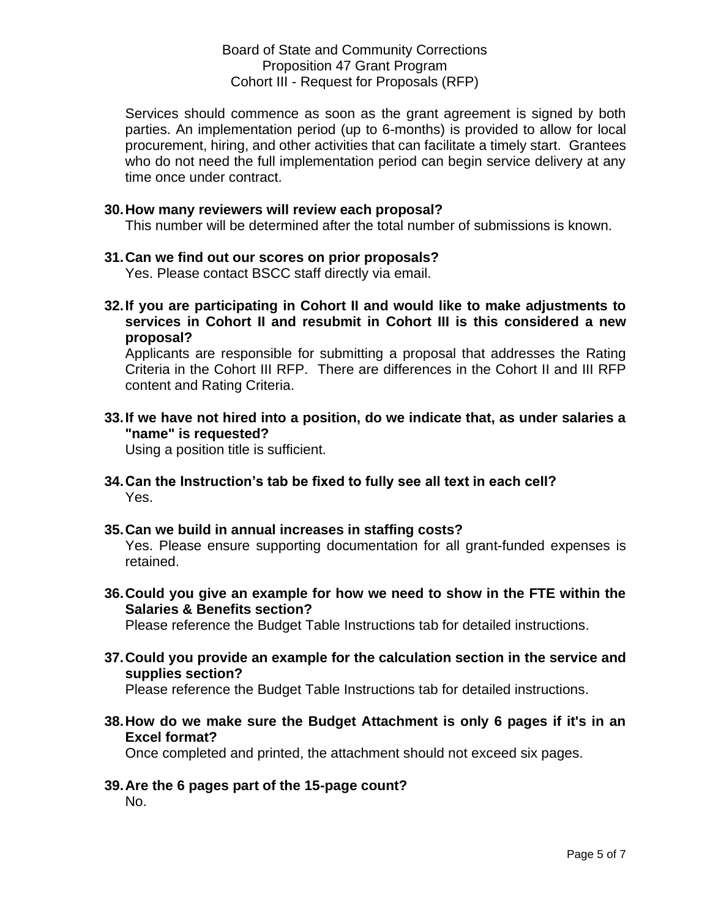Board of State and Community Corrections Proposition 47 Grant Program Cohort III - Request for Proposals (RFP)

Services should commence as soon as the grant agreement is signed by both parties. An implementation period (up to 6-months) is provided to allow for local procurement, hiring, and other activities that can facilitate a timely start. Grantees who do not need the full implementation period can begin service delivery at any time once under contract.

#### **30.How many reviewers will review each proposal?**

This number will be determined after the total number of submissions is known.

#### **31.Can we find out our scores on prior proposals?**

Yes. Please contact BSCC staff directly via email.

**32.If you are participating in Cohort II and would like to make adjustments to services in Cohort II and resubmit in Cohort III is this considered a new proposal?**

Applicants are responsible for submitting a proposal that addresses the Rating Criteria in the Cohort III RFP. There are differences in the Cohort II and III RFP content and Rating Criteria.

**33.If we have not hired into a position, do we indicate that, as under salaries a "name" is requested?**

Using a position title is sufficient.

**34.Can the Instruction's tab be fixed to fully see all text in each cell?**  Yes.

# **35.Can we build in annual increases in staffing costs?**

Yes. Please ensure supporting documentation for all grant-funded expenses is retained.

**36.Could you give an example for how we need to show in the FTE within the Salaries & Benefits section?**

Please reference the Budget Table Instructions tab for detailed instructions.

**37.Could you provide an example for the calculation section in the service and supplies section?**

Please reference the Budget Table Instructions tab for detailed instructions.

**38.How do we make sure the Budget Attachment is only 6 pages if it's in an Excel format?**

Once completed and printed, the attachment should not exceed six pages.

**39.Are the 6 pages part of the 15-page count?** No.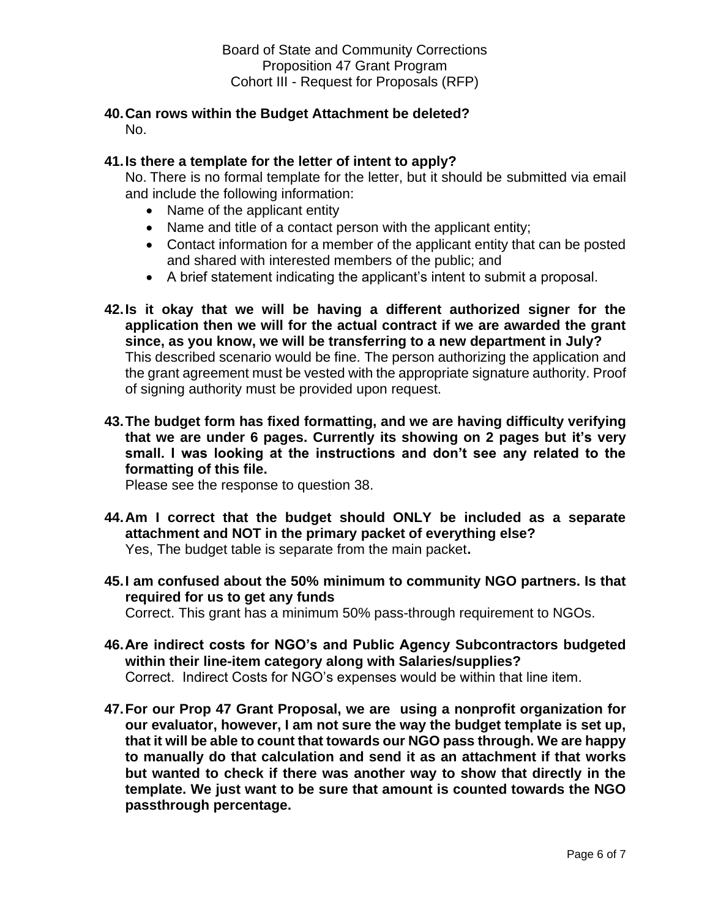#### **40.Can rows within the Budget Attachment be deleted?**  No.

## **41.Is there a template for the letter of intent to apply?**

No. There is no formal template for the letter, but it should be submitted via email and include the following information:

- Name of the applicant entity
- Name and title of a contact person with the applicant entity;
- Contact information for a member of the applicant entity that can be posted and shared with interested members of the public; and
- A brief statement indicating the applicant's intent to submit a proposal.
- **42.Is it okay that we will be having a different authorized signer for the application then we will for the actual contract if we are awarded the grant since, as you know, we will be transferring to a new department in July?** This described scenario would be fine. The person authorizing the application and the grant agreement must be vested with the appropriate signature authority. Proof of signing authority must be provided upon request.
- **43.The budget form has fixed formatting, and we are having difficulty verifying that we are under 6 pages. Currently its showing on 2 pages but it's very small. I was looking at the instructions and don't see any related to the formatting of this file.**

Please see the response to question 38.

- **44.Am I correct that the budget should ONLY be included as a separate attachment and NOT in the primary packet of everything else?**  Yes, The budget table is separate from the main packet**.**
- **45.I am confused about the 50% minimum to community NGO partners. Is that required for us to get any funds** Correct. This grant has a minimum 50% pass-through requirement to NGOs.
- **46.Are indirect costs for NGO's and Public Agency Subcontractors budgeted within their line-item category along with Salaries/supplies?** Correct. Indirect Costs for NGO's expenses would be within that line item.
- **47.For our Prop 47 Grant Proposal, we are using a nonprofit organization for our evaluator, however, I am not sure the way the budget template is set up, that it will be able to count that towards our NGO pass through. We are happy to manually do that calculation and send it as an attachment if that works but wanted to check if there was another way to show that directly in the template. We just want to be sure that amount is counted towards the NGO passthrough percentage.**